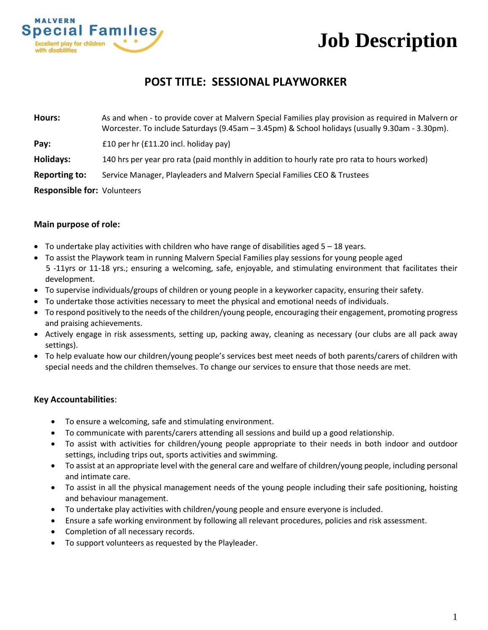

# **Job Description**

# **POST TITLE: SESSIONAL PLAYWORKER**

**Hours:** As and when - to provide cover at Malvern Special Families play provision as required in Malvern or Worcester. To include Saturdays (9.45am – 3.45pm) & School holidays (usually 9.30am - 3.30pm). **Pay:** E10 per hr (£11.20 incl. holiday pay) **Holidays:** 140 hrs per year pro rata (paid monthly in addition to hourly rate pro rata to hours worked) **Reporting to:** Service Manager, Playleaders and Malvern Special Families CEO & Trustees **Responsible for:** Volunteers

### **Main purpose of role:**

- To undertake play activities with children who have range of disabilities aged  $5 18$  years.
- To assist the Playwork team in running Malvern Special Families play sessions for young people aged 5 -11yrs or 11-18 yrs.; ensuring a welcoming, safe, enjoyable, and stimulating environment that facilitates their development.
- To supervise individuals/groups of children or young people in a keyworker capacity, ensuring their safety.
- To undertake those activities necessary to meet the physical and emotional needs of individuals.
- To respond positively to the needs of the children/young people, encouraging their engagement, promoting progress and praising achievements.
- Actively engage in risk assessments, setting up, packing away, cleaning as necessary (our clubs are all pack away settings).
- To help evaluate how our children/young people's services best meet needs of both parents/carers of children with special needs and the children themselves. To change our services to ensure that those needs are met.

#### **Key Accountabilities**:

- To ensure a welcoming, safe and stimulating environment.
- To communicate with parents/carers attending all sessions and build up a good relationship.
- To assist with activities for children/young people appropriate to their needs in both indoor and outdoor settings, including trips out, sports activities and swimming.
- To assist at an appropriate level with the general care and welfare of children/young people, including personal and intimate care.
- To assist in all the physical management needs of the young people including their safe positioning, hoisting and behaviour management.
- To undertake play activities with children/young people and ensure everyone is included.
- Ensure a safe working environment by following all relevant procedures, policies and risk assessment.
- Completion of all necessary records.
- To support volunteers as requested by the Playleader.